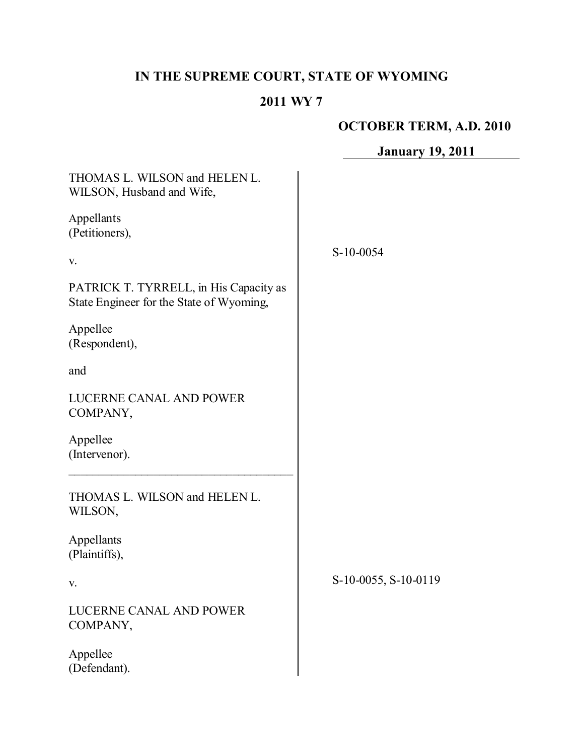# **IN THE SUPREME COURT, STATE OF WYOMING**

## **2011 WY 7**

# **OCTOBER TERM, A.D. 2010**

**January 19, 2011**

| THOMAS L. WILSON and HELEN L.<br>WILSON, Husband and Wife,                         |                      |
|------------------------------------------------------------------------------------|----------------------|
| Appellants<br>(Petitioners),                                                       |                      |
| V.                                                                                 | $S-10-0054$          |
| PATRICK T. TYRRELL, in His Capacity as<br>State Engineer for the State of Wyoming, |                      |
| Appellee<br>(Respondent),                                                          |                      |
| and                                                                                |                      |
| <b>LUCERNE CANAL AND POWER</b><br>COMPANY,                                         |                      |
| Appellee<br>(Intervenor).                                                          |                      |
| THOMAS L. WILSON and HELEN L.<br>WILSON,                                           |                      |
| Appellants<br>(Plaintiffs),                                                        |                      |
| V.                                                                                 | S-10-0055, S-10-0119 |
| LUCERNE CANAL AND POWER<br>COMPANY,                                                |                      |
| Appellee<br>(Defendant).                                                           |                      |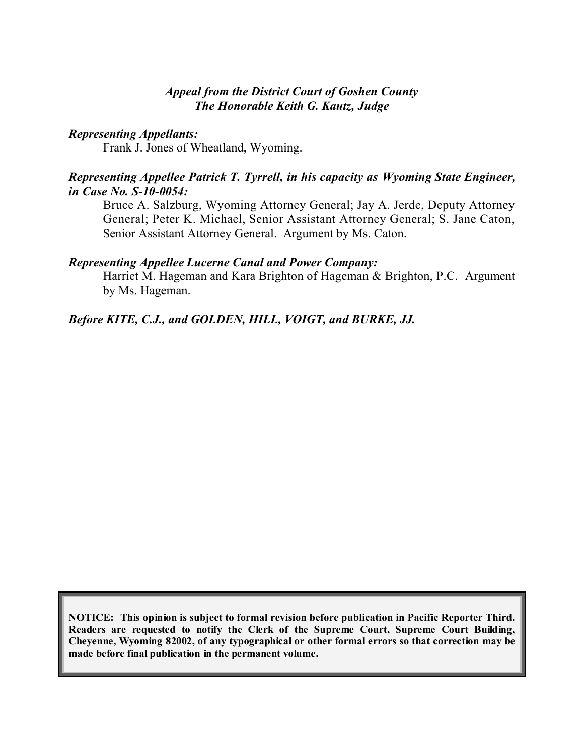#### *Appeal from the District Court of Goshen County The Honorable Keith G. Kautz, Judge*

#### *Representing Appellants:*

Frank J. Jones of Wheatland, Wyoming.

#### *Representing Appellee Patrick T. Tyrrell, in his capacity as Wyoming State Engineer, in Case No. S-10-0054:*

Bruce A. Salzburg, Wyoming Attorney General; Jay A. Jerde, Deputy Attorney General; Peter K. Michael, Senior Assistant Attorney General; S. Jane Caton, Senior Assistant Attorney General. Argument by Ms. Caton.

#### *Representing Appellee Lucerne Canal and Power Company:*

Harriet M. Hageman and Kara Brighton of Hageman & Brighton, P.C. Argument by Ms. Hageman.

#### *Before KITE, C.J., and GOLDEN, HILL, VOIGT, and BURKE, JJ.*

**NOTICE: This opinion is subject to formal revision before publication in Pacific Reporter Third. Readers are requested to notify the Clerk of the Supreme Court, Supreme Court Building, Cheyenne, Wyoming 82002, of any typographical or other formal errors so that correction may be made before final publication in the permanent volume.**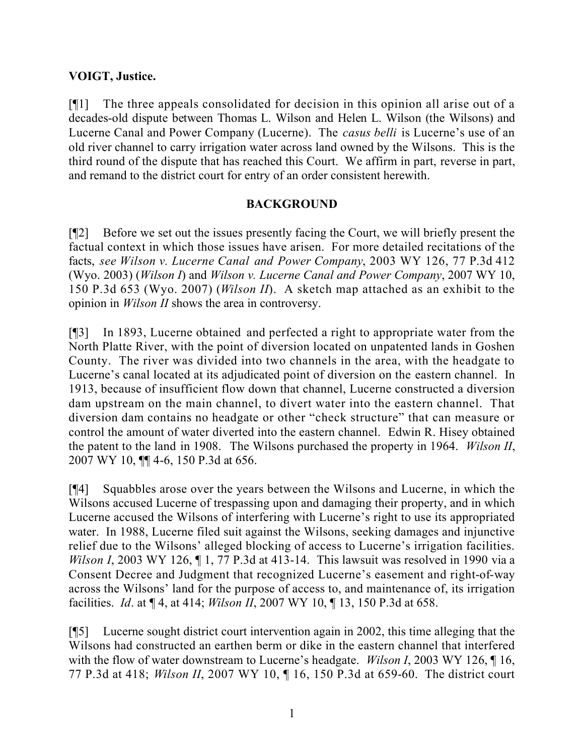### **VOIGT, Justice.**

[¶1] The three appeals consolidated for decision in this opinion all arise out of a decades-old dispute between Thomas L. Wilson and Helen L. Wilson (the Wilsons) and Lucerne Canal and Power Company (Lucerne). The *casus belli* is Lucerne's use of an old river channel to carry irrigation water across land owned by the Wilsons. This is the third round of the dispute that has reached this Court. We affirm in part, reverse in part, and remand to the district court for entry of an order consistent herewith.

### **BACKGROUND**

[¶2] Before we set out the issues presently facing the Court, we will briefly present the factual context in which those issues have arisen. For more detailed recitations of the facts, *see Wilson v. Lucerne Canal and Power Company*, 2003 WY 126, 77 P.3d 412 (Wyo. 2003) (*Wilson I*) and *Wilson v. Lucerne Canal and Power Company*, 2007 WY 10, 150 P.3d 653 (Wyo. 2007) (*Wilson II*). A sketch map attached as an exhibit to the opinion in *Wilson II* shows the area in controversy.

[¶3] In 1893, Lucerne obtained and perfected a right to appropriate water from the North Platte River, with the point of diversion located on unpatented lands in Goshen County. The river was divided into two channels in the area, with the headgate to Lucerne's canal located at its adjudicated point of diversion on the eastern channel. In 1913, because of insufficient flow down that channel, Lucerne constructed a diversion dam upstream on the main channel, to divert water into the eastern channel. That diversion dam contains no headgate or other "check structure" that can measure or control the amount of water diverted into the eastern channel. Edwin R. Hisey obtained the patent to the land in 1908. The Wilsons purchased the property in 1964. *Wilson II*, 2007 WY 10, ¶¶ 4-6, 150 P.3d at 656.

[¶4] Squabbles arose over the years between the Wilsons and Lucerne, in which the Wilsons accused Lucerne of trespassing upon and damaging their property, and in which Lucerne accused the Wilsons of interfering with Lucerne's right to use its appropriated water. In 1988, Lucerne filed suit against the Wilsons, seeking damages and injunctive relief due to the Wilsons' alleged blocking of access to Lucerne's irrigation facilities. *Wilson I*, 2003 WY 126, ¶ 1, 77 P.3d at 413-14. This lawsuit was resolved in 1990 via a Consent Decree and Judgment that recognized Lucerne's easement and right-of-way across the Wilsons' land for the purpose of access to, and maintenance of, its irrigation facilities. *Id*. at ¶ 4, at 414; *Wilson II*, 2007 WY 10, ¶ 13, 150 P.3d at 658.

[¶5] Lucerne sought district court intervention again in 2002, this time alleging that the Wilsons had constructed an earthen berm or dike in the eastern channel that interfered with the flow of water downstream to Lucerne's headgate. *Wilson I*, 2003 WY 126, ¶ 16, 77 P.3d at 418; *Wilson II*, 2007 WY 10, ¶ 16, 150 P.3d at 659-60. The district court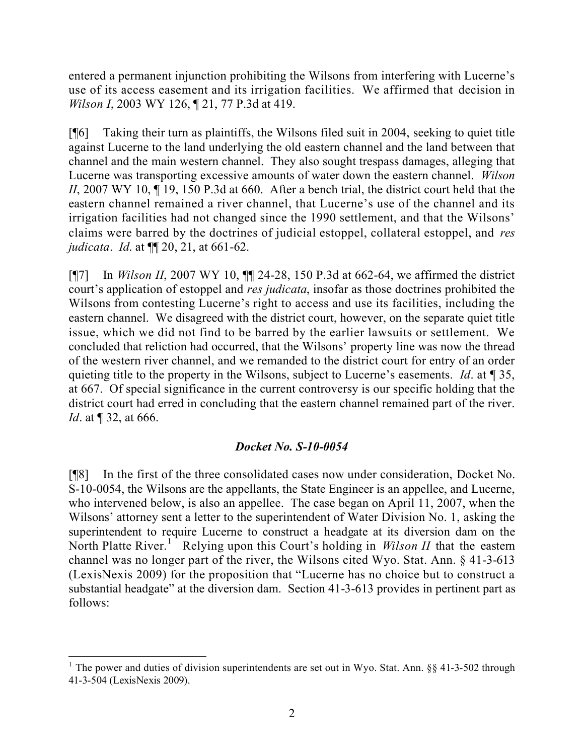entered a permanent injunction prohibiting the Wilsons from interfering with Lucerne's use of its access easement and its irrigation facilities. We affirmed that decision in *Wilson I*, 2003 WY 126, ¶ 21, 77 P.3d at 419.

[¶6] Taking their turn as plaintiffs, the Wilsons filed suit in 2004, seeking to quiet title against Lucerne to the land underlying the old eastern channel and the land between that channel and the main western channel. They also sought trespass damages, alleging that Lucerne was transporting excessive amounts of water down the eastern channel. *Wilson II*, 2007 WY 10,  $\P$  19, 150 P.3d at 660. After a bench trial, the district court held that the eastern channel remained a river channel, that Lucerne's use of the channel and its irrigation facilities had not changed since the 1990 settlement, and that the Wilsons' claims were barred by the doctrines of judicial estoppel, collateral estoppel, and *res judicata*. *Id*. at ¶¶ 20, 21, at 661-62.

[¶7] In *Wilson II*, 2007 WY 10, ¶¶ 24-28, 150 P.3d at 662-64, we affirmed the district court's application of estoppel and *res judicata*, insofar as those doctrines prohibited the Wilsons from contesting Lucerne's right to access and use its facilities, including the eastern channel. We disagreed with the district court, however, on the separate quiet title issue, which we did not find to be barred by the earlier lawsuits or settlement. We concluded that reliction had occurred, that the Wilsons' property line was now the thread of the western river channel, and we remanded to the district court for entry of an order quieting title to the property in the Wilsons, subject to Lucerne's easements. *Id*. at ¶ 35, at 667. Of special significance in the current controversy is our specific holding that the district court had erred in concluding that the eastern channel remained part of the river. *Id.* at ¶ 32, at 666.

## *Docket No. S-10-0054*

[¶8] In the first of the three consolidated cases now under consideration, Docket No. S-10-0054, the Wilsons are the appellants, the State Engineer is an appellee, and Lucerne, who intervened below, is also an appellee. The case began on April 11, 2007, when the Wilsons' attorney sent a letter to the superintendent of Water Division No. 1, asking the superintendent to require Lucerne to construct a headgate at its diversion dam on the North Platte River.<sup>1</sup> Relying upon this Court's holding in *Wilson II* that the eastern channel was no longer part of the river, the Wilsons cited Wyo. Stat. Ann. § 41-3-613 (LexisNexis 2009) for the proposition that "Lucerne has no choice but to construct a substantial headgate" at the diversion dam. Section 41-3-613 provides in pertinent part as follows:

 <sup>1</sup> The power and duties of division superintendents are set out in Wyo. Stat. Ann. §§ 41-3-502 through 41-3-504 (LexisNexis 2009).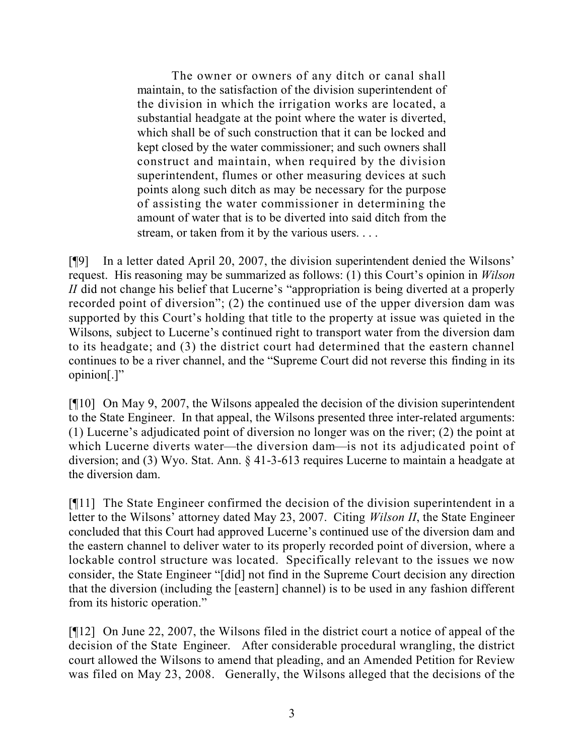The owner or owners of any ditch or canal shall maintain, to the satisfaction of the division superintendent of the division in which the irrigation works are located, a substantial headgate at the point where the water is diverted, which shall be of such construction that it can be locked and kept closed by the water commissioner; and such owners shall construct and maintain, when required by the division superintendent, flumes or other measuring devices at such points along such ditch as may be necessary for the purpose of assisting the water commissioner in determining the amount of water that is to be diverted into said ditch from the stream, or taken from it by the various users. . . .

[¶9] In a letter dated April 20, 2007, the division superintendent denied the Wilsons' request. His reasoning may be summarized as follows: (1) this Court's opinion in *Wilson II* did not change his belief that Lucerne's "appropriation is being diverted at a properly recorded point of diversion"; (2) the continued use of the upper diversion dam was supported by this Court's holding that title to the property at issue was quieted in the Wilsons, subject to Lucerne's continued right to transport water from the diversion dam to its headgate; and (3) the district court had determined that the eastern channel continues to be a river channel, and the "Supreme Court did not reverse this finding in its opinion[.]"

[¶10] On May 9, 2007, the Wilsons appealed the decision of the division superintendent to the State Engineer. In that appeal, the Wilsons presented three inter-related arguments: (1) Lucerne's adjudicated point of diversion no longer was on the river; (2) the point at which Lucerne diverts water—the diversion dam—is not its adjudicated point of diversion; and (3) Wyo. Stat. Ann. § 41-3-613 requires Lucerne to maintain a headgate at the diversion dam.

[¶11] The State Engineer confirmed the decision of the division superintendent in a letter to the Wilsons' attorney dated May 23, 2007. Citing *Wilson II*, the State Engineer concluded that this Court had approved Lucerne's continued use of the diversion dam and the eastern channel to deliver water to its properly recorded point of diversion, where a lockable control structure was located. Specifically relevant to the issues we now consider, the State Engineer "[did] not find in the Supreme Court decision any direction that the diversion (including the [eastern] channel) is to be used in any fashion different from its historic operation."

[¶12] On June 22, 2007, the Wilsons filed in the district court a notice of appeal of the decision of the State Engineer. After considerable procedural wrangling, the district court allowed the Wilsons to amend that pleading, and an Amended Petition for Review was filed on May 23, 2008. Generally, the Wilsons alleged that the decisions of the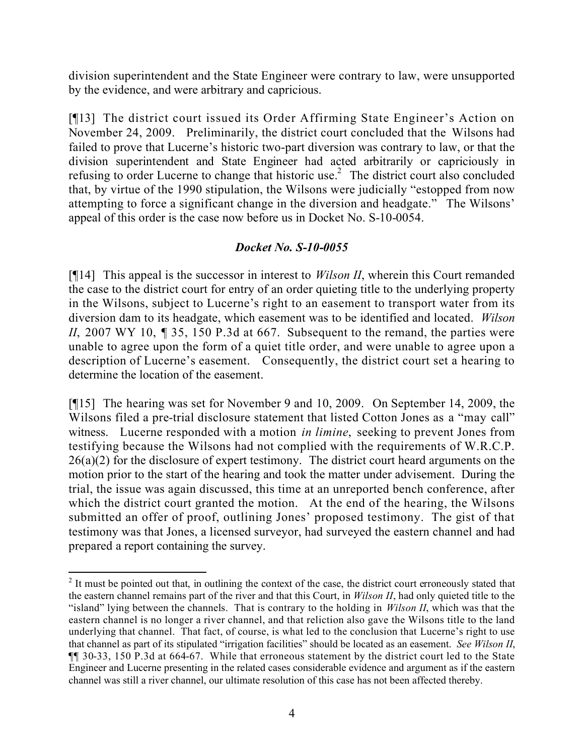division superintendent and the State Engineer were contrary to law, were unsupported by the evidence, and were arbitrary and capricious.

[¶13] The district court issued its Order Affirming State Engineer's Action on November 24, 2009. Preliminarily, the district court concluded that the Wilsons had failed to prove that Lucerne's historic two-part diversion was contrary to law, or that the division superintendent and State Engineer had acted arbitrarily or capriciously in refusing to order Lucerne to change that historic use.<sup>2</sup> The district court also concluded that, by virtue of the 1990 stipulation, the Wilsons were judicially "estopped from now attempting to force a significant change in the diversion and headgate." The Wilsons' appeal of this order is the case now before us in Docket No. S-10-0054.

## *Docket No. S-10-0055*

[¶14] This appeal is the successor in interest to *Wilson II*, wherein this Court remanded the case to the district court for entry of an order quieting title to the underlying property in the Wilsons, subject to Lucerne's right to an easement to transport water from its diversion dam to its headgate, which easement was to be identified and located. *Wilson II*, 2007 WY 10, 1 35, 150 P.3d at 667. Subsequent to the remand, the parties were unable to agree upon the form of a quiet title order, and were unable to agree upon a description of Lucerne's easement. Consequently, the district court set a hearing to determine the location of the easement.

[¶15] The hearing was set for November 9 and 10, 2009. On September 14, 2009, the Wilsons filed a pre-trial disclosure statement that listed Cotton Jones as a "may call" witness. Lucerne responded with a motion *in limine*, seeking to prevent Jones from testifying because the Wilsons had not complied with the requirements of W.R.C.P.  $26(a)(2)$  for the disclosure of expert testimony. The district court heard arguments on the motion prior to the start of the hearing and took the matter under advisement. During the trial, the issue was again discussed, this time at an unreported bench conference, after which the district court granted the motion. At the end of the hearing, the Wilsons submitted an offer of proof, outlining Jones' proposed testimony. The gist of that testimony was that Jones, a licensed surveyor, had surveyed the eastern channel and had prepared a report containing the survey.

  $2$  It must be pointed out that, in outlining the context of the case, the district court erroneously stated that the eastern channel remains part of the river and that this Court, in *Wilson II*, had only quieted title to the "island" lying between the channels. That is contrary to the holding in *Wilson II*, which was that the eastern channel is no longer a river channel, and that reliction also gave the Wilsons title to the land underlying that channel. That fact, of course, is what led to the conclusion that Lucerne's right to use that channel as part of its stipulated "irrigation facilities" should be located as an easement. *See Wilson II*, ¶¶ 30-33, 150 P.3d at 664-67. While that erroneous statement by the district court led to the State Engineer and Lucerne presenting in the related cases considerable evidence and argument as if the eastern channel was still a river channel, our ultimate resolution of this case has not been affected thereby.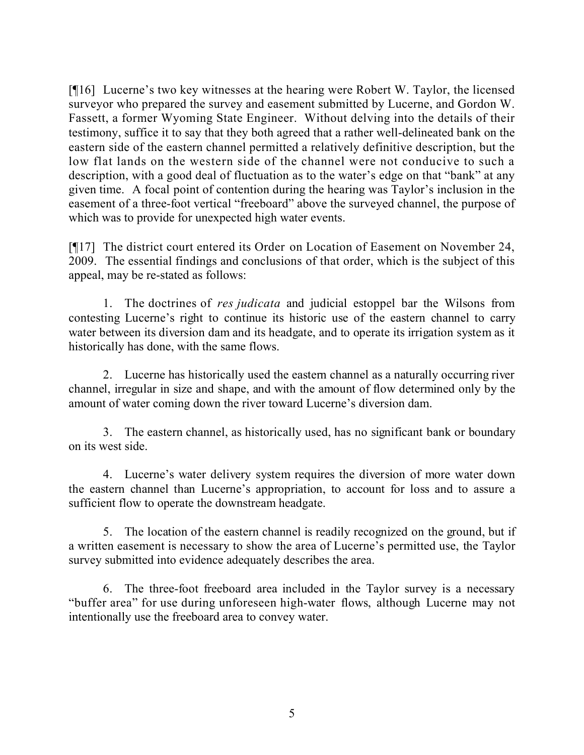[¶16] Lucerne's two key witnesses at the hearing were Robert W. Taylor, the licensed surveyor who prepared the survey and easement submitted by Lucerne, and Gordon W. Fassett, a former Wyoming State Engineer. Without delving into the details of their testimony, suffice it to say that they both agreed that a rather well-delineated bank on the eastern side of the eastern channel permitted a relatively definitive description, but the low flat lands on the western side of the channel were not conducive to such a description, with a good deal of fluctuation as to the water's edge on that "bank" at any given time. A focal point of contention during the hearing was Taylor's inclusion in the easement of a three-foot vertical "freeboard" above the surveyed channel, the purpose of which was to provide for unexpected high water events.

[¶17] The district court entered its Order on Location of Easement on November 24, 2009. The essential findings and conclusions of that order, which is the subject of this appeal, may be re-stated as follows:

1. The doctrines of *res judicata* and judicial estoppel bar the Wilsons from contesting Lucerne's right to continue its historic use of the eastern channel to carry water between its diversion dam and its headgate, and to operate its irrigation system as it historically has done, with the same flows.

2. Lucerne has historically used the eastern channel as a naturally occurring river channel, irregular in size and shape, and with the amount of flow determined only by the amount of water coming down the river toward Lucerne's diversion dam.

3. The eastern channel, as historically used, has no significant bank or boundary on its west side.

4. Lucerne's water delivery system requires the diversion of more water down the eastern channel than Lucerne's appropriation, to account for loss and to assure a sufficient flow to operate the downstream headgate.

5. The location of the eastern channel is readily recognized on the ground, but if a written easement is necessary to show the area of Lucerne's permitted use, the Taylor survey submitted into evidence adequately describes the area.

6. The three-foot freeboard area included in the Taylor survey is a necessary "buffer area" for use during unforeseen high-water flows, although Lucerne may not intentionally use the freeboard area to convey water.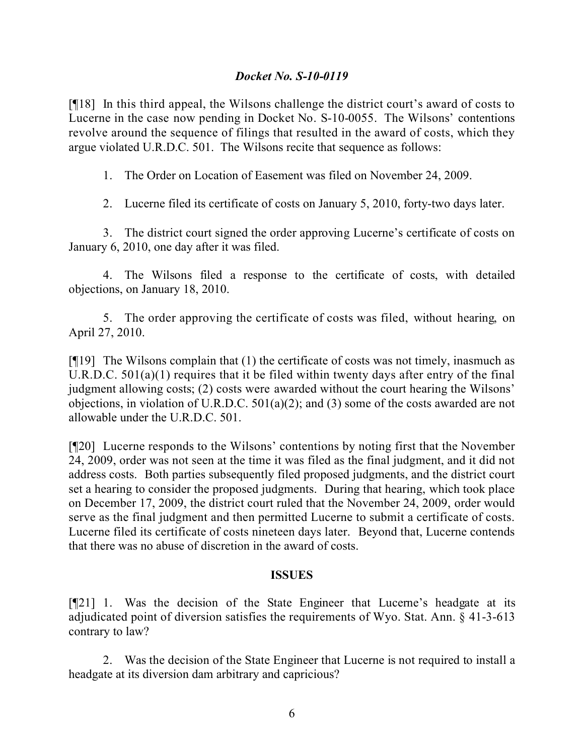### *Docket No. S-10-0119*

[¶18] In this third appeal, the Wilsons challenge the district court's award of costs to Lucerne in the case now pending in Docket No. S-10-0055. The Wilsons' contentions revolve around the sequence of filings that resulted in the award of costs, which they argue violated U.R.D.C. 501. The Wilsons recite that sequence as follows:

1. The Order on Location of Easement was filed on November 24, 2009.

2. Lucerne filed its certificate of costs on January 5, 2010, forty-two days later.

3. The district court signed the order approving Lucerne's certificate of costs on January 6, 2010, one day after it was filed.

4. The Wilsons filed a response to the certificate of costs, with detailed objections, on January 18, 2010.

5. The order approving the certificate of costs was filed, without hearing, on April 27, 2010.

[¶19] The Wilsons complain that (1) the certificate of costs was not timely, inasmuch as U.R.D.C. 501(a)(1) requires that it be filed within twenty days after entry of the final judgment allowing costs; (2) costs were awarded without the court hearing the Wilsons' objections, in violation of U.R.D.C. 501(a)(2); and (3) some of the costs awarded are not allowable under the U.R.D.C. 501.

[¶20] Lucerne responds to the Wilsons' contentions by noting first that the November 24, 2009, order was not seen at the time it was filed as the final judgment, and it did not address costs. Both parties subsequently filed proposed judgments, and the district court set a hearing to consider the proposed judgments. During that hearing, which took place on December 17, 2009, the district court ruled that the November 24, 2009, order would serve as the final judgment and then permitted Lucerne to submit a certificate of costs. Lucerne filed its certificate of costs nineteen days later. Beyond that, Lucerne contends that there was no abuse of discretion in the award of costs.

#### **ISSUES**

[¶21] 1. Was the decision of the State Engineer that Lucerne's headgate at its adjudicated point of diversion satisfies the requirements of Wyo. Stat. Ann. § 41-3-613 contrary to law?

2. Was the decision of the State Engineer that Lucerne is not required to install a headgate at its diversion dam arbitrary and capricious?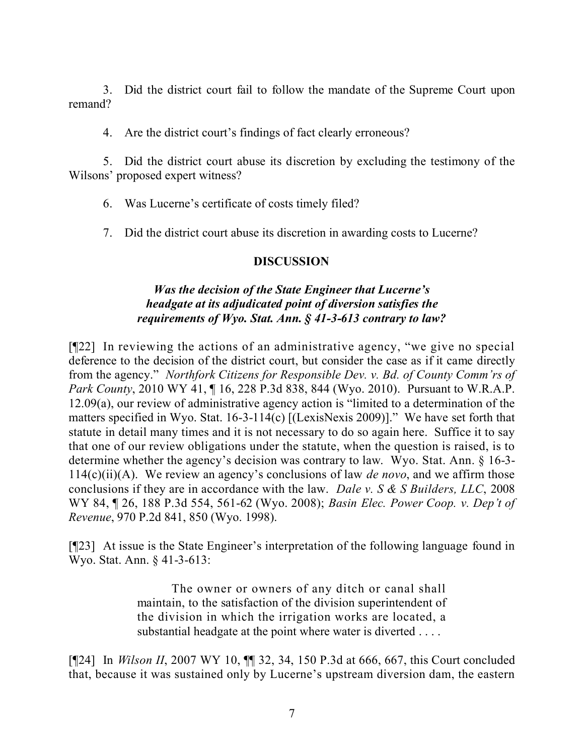3. Did the district court fail to follow the mandate of the Supreme Court upon remand?

4. Are the district court's findings of fact clearly erroneous?

5. Did the district court abuse its discretion by excluding the testimony of the Wilsons' proposed expert witness?

6. Was Lucerne's certificate of costs timely filed?

7. Did the district court abuse its discretion in awarding costs to Lucerne?

#### **DISCUSSION**

#### *Was the decision of the State Engineer that Lucerne's headgate at its adjudicated point of diversion satisfies the requirements of Wyo. Stat. Ann. § 41-3-613 contrary to law?*

[¶22] In reviewing the actions of an administrative agency, "we give no special deference to the decision of the district court, but consider the case as if it came directly from the agency." *Northfork Citizens for Responsible Dev. v. Bd. of County Comm'rs of Park County*, 2010 WY 41, ¶ 16, 228 P.3d 838, 844 (Wyo. 2010). Pursuant to W.R.A.P. 12.09(a), our review of administrative agency action is "limited to a determination of the matters specified in Wyo. Stat. 16-3-114(c) [(LexisNexis 2009)]." We have set forth that statute in detail many times and it is not necessary to do so again here. Suffice it to say that one of our review obligations under the statute, when the question is raised, is to determine whether the agency's decision was contrary to law. Wyo. Stat. Ann. § 16-3- 114(c)(ii)(A). We review an agency's conclusions of law *de novo*, and we affirm those conclusions if they are in accordance with the law. *Dale v. S & S Builders, LLC*, 2008 WY 84, ¶ 26, 188 P.3d 554, 561-62 (Wyo. 2008); *Basin Elec. Power Coop. v. Dep't of Revenue*, 970 P.2d 841, 850 (Wyo. 1998).

[¶23] At issue is the State Engineer's interpretation of the following language found in Wyo. Stat. Ann. § 41-3-613:

> The owner or owners of any ditch or canal shall maintain, to the satisfaction of the division superintendent of the division in which the irrigation works are located, a substantial headgate at the point where water is diverted . . . .

[¶24] In *Wilson II*, 2007 WY 10, ¶¶ 32, 34, 150 P.3d at 666, 667, this Court concluded that, because it was sustained only by Lucerne's upstream diversion dam, the eastern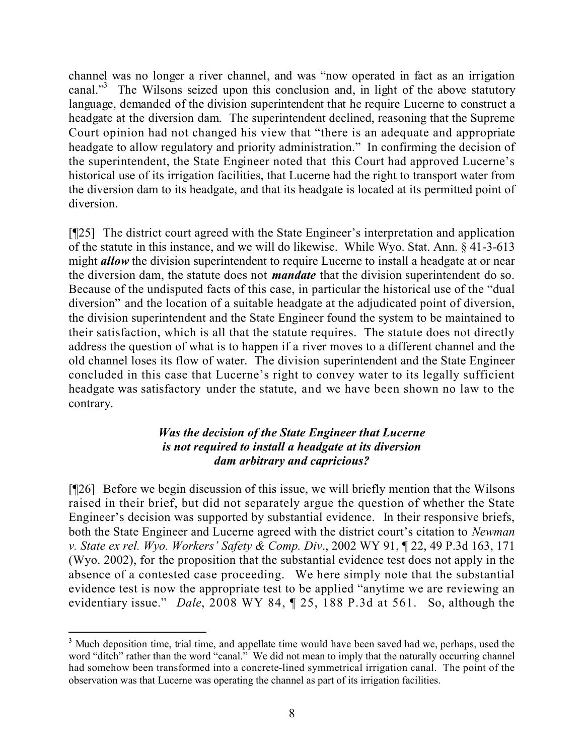channel was no longer a river channel, and was "now operated in fact as an irrigation canal."<sup>3</sup> The Wilsons seized upon this conclusion and, in light of the above statutory language, demanded of the division superintendent that he require Lucerne to construct a headgate at the diversion dam. The superintendent declined, reasoning that the Supreme Court opinion had not changed his view that "there is an adequate and appropriate headgate to allow regulatory and priority administration." In confirming the decision of the superintendent, the State Engineer noted that this Court had approved Lucerne's historical use of its irrigation facilities, that Lucerne had the right to transport water from the diversion dam to its headgate, and that its headgate is located at its permitted point of diversion.

[¶25] The district court agreed with the State Engineer's interpretation and application of the statute in this instance, and we will do likewise. While Wyo. Stat. Ann. § 41-3-613 might **allow** the division superintendent to require Lucerne to install a headgate at or near the diversion dam, the statute does not *mandate* that the division superintendent do so. Because of the undisputed facts of this case, in particular the historical use of the "dual diversion" and the location of a suitable headgate at the adjudicated point of diversion, the division superintendent and the State Engineer found the system to be maintained to their satisfaction, which is all that the statute requires. The statute does not directly address the question of what is to happen if a river moves to a different channel and the old channel loses its flow of water. The division superintendent and the State Engineer concluded in this case that Lucerne's right to convey water to its legally sufficient headgate was satisfactory under the statute, and we have been shown no law to the contrary.

#### *Was the decision of the State Engineer that Lucerne is not required to install a headgate at its diversion dam arbitrary and capricious?*

[¶26] Before we begin discussion of this issue, we will briefly mention that the Wilsons raised in their brief, but did not separately argue the question of whether the State Engineer's decision was supported by substantial evidence. In their responsive briefs, both the State Engineer and Lucerne agreed with the district court's citation to *Newman v. State ex rel. Wyo. Workers' Safety & Comp. Div*., 2002 WY 91, ¶ 22, 49 P.3d 163, 171 (Wyo. 2002), for the proposition that the substantial evidence test does not apply in the absence of a contested case proceeding. We here simply note that the substantial evidence test is now the appropriate test to be applied "anytime we are reviewing an evidentiary issue." *Dale*, 2008 WY 84, ¶ 25, 188 P.3d at 561. So, although the

 $3$  Much deposition time, trial time, and appellate time would have been saved had we, perhaps, used the word "ditch" rather than the word "canal." We did not mean to imply that the naturally occurring channel had somehow been transformed into a concrete-lined symmetrical irrigation canal. The point of the observation was that Lucerne was operating the channel as part of its irrigation facilities.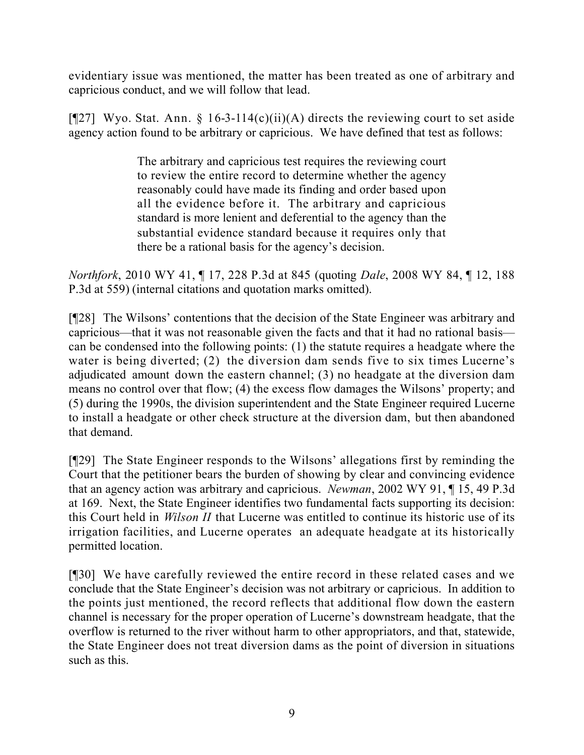evidentiary issue was mentioned, the matter has been treated as one of arbitrary and capricious conduct, and we will follow that lead.

[ $[$ 27] Wyo. Stat. Ann. § 16-3-114(c)(ii)(A) directs the reviewing court to set aside agency action found to be arbitrary or capricious. We have defined that test as follows:

> The arbitrary and capricious test requires the reviewing court to review the entire record to determine whether the agency reasonably could have made its finding and order based upon all the evidence before it. The arbitrary and capricious standard is more lenient and deferential to the agency than the substantial evidence standard because it requires only that there be a rational basis for the agency's decision.

*Northfork*, 2010 WY 41, ¶ 17, 228 P.3d at 845 (quoting *Dale*, 2008 WY 84, ¶ 12, 188 P.3d at 559) (internal citations and quotation marks omitted).

[¶28] The Wilsons' contentions that the decision of the State Engineer was arbitrary and capricious—that it was not reasonable given the facts and that it had no rational basis can be condensed into the following points: (1) the statute requires a headgate where the water is being diverted; (2) the diversion dam sends five to six times Lucerne's adjudicated amount down the eastern channel; (3) no headgate at the diversion dam means no control over that flow; (4) the excess flow damages the Wilsons' property; and (5) during the 1990s, the division superintendent and the State Engineer required Lucerne to install a headgate or other check structure at the diversion dam, but then abandoned that demand.

[¶29] The State Engineer responds to the Wilsons' allegations first by reminding the Court that the petitioner bears the burden of showing by clear and convincing evidence that an agency action was arbitrary and capricious. *Newman*, 2002 WY 91, ¶ 15, 49 P.3d at 169. Next, the State Engineer identifies two fundamental facts supporting its decision: this Court held in *Wilson II* that Lucerne was entitled to continue its historic use of its irrigation facilities, and Lucerne operates an adequate headgate at its historically permitted location.

[¶30] We have carefully reviewed the entire record in these related cases and we conclude that the State Engineer's decision was not arbitrary or capricious. In addition to the points just mentioned, the record reflects that additional flow down the eastern channel is necessary for the proper operation of Lucerne's downstream headgate, that the overflow is returned to the river without harm to other appropriators, and that, statewide, the State Engineer does not treat diversion dams as the point of diversion in situations such as this.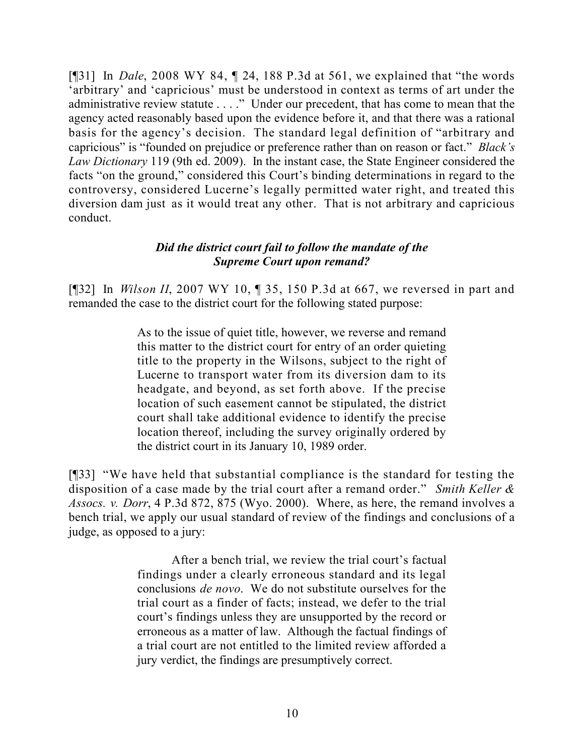[¶31] In *Dale*, 2008 WY 84, ¶ 24, 188 P.3d at 561, we explained that "the words 'arbitrary' and 'capricious' must be understood in context as terms of art under the administrative review statute . . . ." Under our precedent, that has come to mean that the agency acted reasonably based upon the evidence before it, and that there was a rational basis for the agency's decision. The standard legal definition of "arbitrary and capricious" is "founded on prejudice or preference rather than on reason or fact." *Black's Law Dictionary* 119 (9th ed. 2009). In the instant case, the State Engineer considered the facts "on the ground," considered this Court's binding determinations in regard to the controversy, considered Lucerne's legally permitted water right, and treated this diversion dam just as it would treat any other. That is not arbitrary and capricious conduct.

### *Did the district court fail to follow the mandate of the Supreme Court upon remand?*

[¶32] In *Wilson II*, 2007 WY 10, ¶ 35, 150 P.3d at 667, we reversed in part and remanded the case to the district court for the following stated purpose:

> As to the issue of quiet title, however, we reverse and remand this matter to the district court for entry of an order quieting title to the property in the Wilsons, subject to the right of Lucerne to transport water from its diversion dam to its headgate, and beyond, as set forth above. If the precise location of such easement cannot be stipulated, the district court shall take additional evidence to identify the precise location thereof, including the survey originally ordered by the district court in its January 10, 1989 order.

[¶33] "We have held that substantial compliance is the standard for testing the disposition of a case made by the trial court after a remand order." *Smith Keller & Assocs. v. Dorr*, 4 P.3d 872, 875 (Wyo. 2000). Where, as here, the remand involves a bench trial, we apply our usual standard of review of the findings and conclusions of a judge, as opposed to a jury:

> After a bench trial, we review the trial court's factual findings under a clearly erroneous standard and its legal conclusions *de novo*. We do not substitute ourselves for the trial court as a finder of facts; instead, we defer to the trial court's findings unless they are unsupported by the record or erroneous as a matter of law. Although the factual findings of a trial court are not entitled to the limited review afforded a jury verdict, the findings are presumptively correct.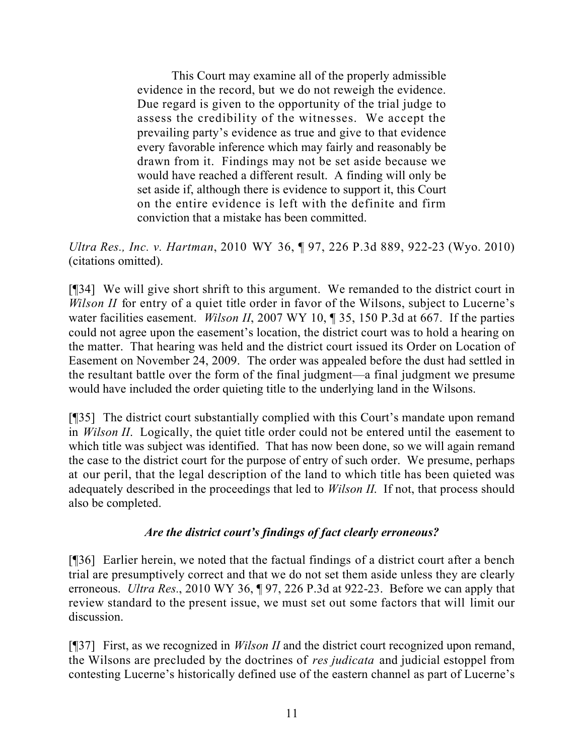This Court may examine all of the properly admissible evidence in the record, but we do not reweigh the evidence. Due regard is given to the opportunity of the trial judge to assess the credibility of the witnesses. We accept the prevailing party's evidence as true and give to that evidence every favorable inference which may fairly and reasonably be drawn from it. Findings may not be set aside because we would have reached a different result. A finding will only be set aside if, although there is evidence to support it, this Court on the entire evidence is left with the definite and firm conviction that a mistake has been committed.

*Ultra Res., Inc. v. Hartman*, 2010 WY 36, ¶ 97, 226 P.3d 889, 922-23 (Wyo. 2010) (citations omitted).

[¶34] We will give short shrift to this argument. We remanded to the district court in *Wilson II* for entry of a quiet title order in favor of the Wilsons, subject to Lucerne's water facilities easement. *Wilson II*, 2007 WY 10, ¶ 35, 150 P.3d at 667. If the parties could not agree upon the easement's location, the district court was to hold a hearing on the matter. That hearing was held and the district court issued its Order on Location of Easement on November 24, 2009. The order was appealed before the dust had settled in the resultant battle over the form of the final judgment—a final judgment we presume would have included the order quieting title to the underlying land in the Wilsons.

[¶35] The district court substantially complied with this Court's mandate upon remand in *Wilson II*. Logically, the quiet title order could not be entered until the easement to which title was subject was identified. That has now been done, so we will again remand the case to the district court for the purpose of entry of such order. We presume, perhaps at our peril, that the legal description of the land to which title has been quieted was adequately described in the proceedings that led to *Wilson II*. If not, that process should also be completed.

#### *Are the district court's findings of fact clearly erroneous?*

[¶36] Earlier herein, we noted that the factual findings of a district court after a bench trial are presumptively correct and that we do not set them aside unless they are clearly erroneous. *Ultra Res.*, 2010 WY 36, ¶ 97, 226 P.3d at 922-23. Before we can apply that review standard to the present issue, we must set out some factors that will limit our discussion.

[¶37] First, as we recognized in *Wilson II* and the district court recognized upon remand, the Wilsons are precluded by the doctrines of *res judicata* and judicial estoppel from contesting Lucerne's historically defined use of the eastern channel as part of Lucerne's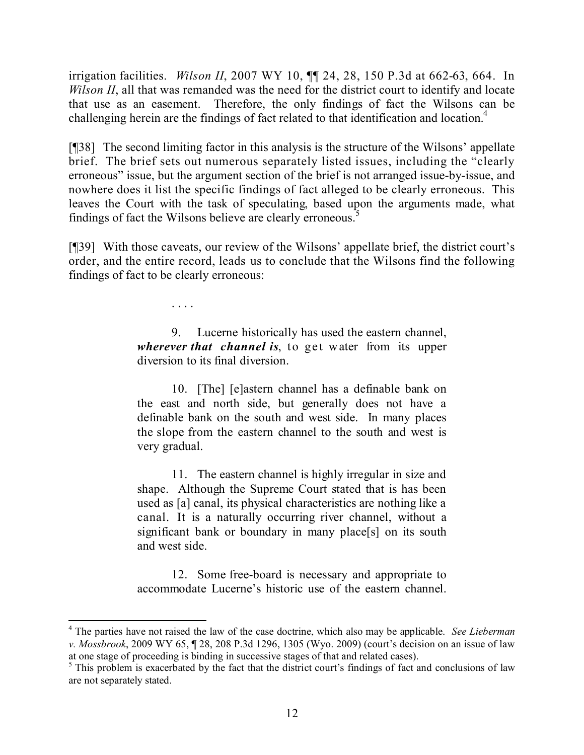irrigation facilities. *Wilson II*, 2007 WY 10, ¶¶ 24, 28, 150 P.3d at 662-63, 664. In *Wilson II*, all that was remanded was the need for the district court to identify and locate that use as an easement. Therefore, the only findings of fact the Wilsons can be challenging herein are the findings of fact related to that identification and location.<sup>4</sup>

[¶38] The second limiting factor in this analysis is the structure of the Wilsons' appellate brief. The brief sets out numerous separately listed issues, including the "clearly erroneous" issue, but the argument section of the brief is not arranged issue-by-issue, and nowhere does it list the specific findings of fact alleged to be clearly erroneous. This leaves the Court with the task of speculating, based upon the arguments made, what findings of fact the Wilsons believe are clearly erroneous.<sup>5</sup>

[¶39] With those caveats, our review of the Wilsons' appellate brief, the district court's order, and the entire record, leads us to conclude that the Wilsons find the following findings of fact to be clearly erroneous:

> 9. Lucerne historically has used the eastern channel, *wherever that channel is*, to get water from its upper diversion to its final diversion.

. . . .

10. [The] [e]astern channel has a definable bank on the east and north side, but generally does not have a definable bank on the south and west side. In many places the slope from the eastern channel to the south and west is very gradual.

11. The eastern channel is highly irregular in size and shape. Although the Supreme Court stated that is has been used as [a] canal, its physical characteristics are nothing like a canal. It is a naturally occurring river channel, without a significant bank or boundary in many place[s] on its south and west side.

12. Some free-board is necessary and appropriate to accommodate Lucerne's historic use of the eastern channel.

<sup>4</sup> The parties have not raised the law of the case doctrine, which also may be applicable. *See Lieberman v. Mossbrook*, 2009 WY 65, ¶ 28, 208 P.3d 1296, 1305 (Wyo. 2009) (court's decision on an issue of law at one stage of proceeding is binding in successive stages of that and related cases).

 $5$  This problem is exacerbated by the fact that the district court's findings of fact and conclusions of law are not separately stated.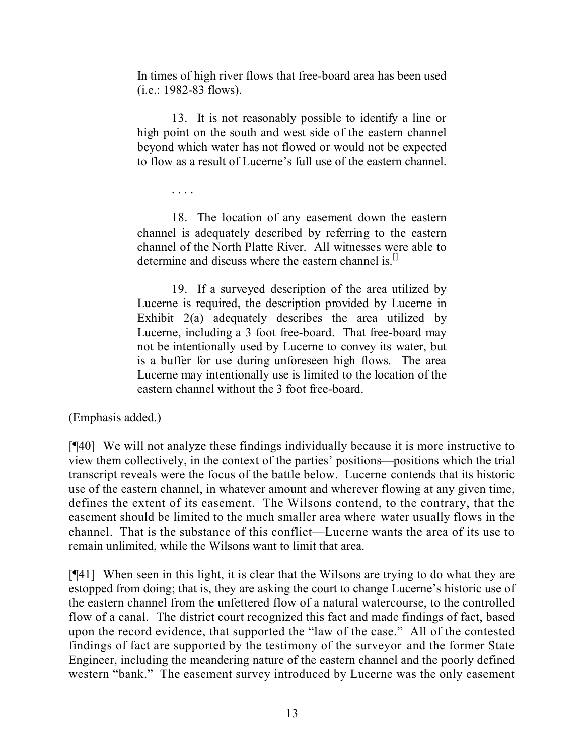In times of high river flows that free-board area has been used (i.e.: 1982-83 flows).

13. It is not reasonably possible to identify a line or high point on the south and west side of the eastern channel beyond which water has not flowed or would not be expected to flow as a result of Lucerne's full use of the eastern channel.

. . . .

18. The location of any easement down the eastern channel is adequately described by referring to the eastern channel of the North Platte River. All witnesses were able to determine and discuss where the eastern channel is.<sup>[]</sup>

19. If a surveyed description of the area utilized by Lucerne is required, the description provided by Lucerne in Exhibit 2(a) adequately describes the area utilized by Lucerne, including a 3 foot free-board. That free-board may not be intentionally used by Lucerne to convey its water, but is a buffer for use during unforeseen high flows. The area Lucerne may intentionally use is limited to the location of the eastern channel without the 3 foot free-board.

(Emphasis added.)

[¶40] We will not analyze these findings individually because it is more instructive to view them collectively, in the context of the parties' positions—positions which the trial transcript reveals were the focus of the battle below. Lucerne contends that its historic use of the eastern channel, in whatever amount and wherever flowing at any given time, defines the extent of its easement. The Wilsons contend, to the contrary, that the easement should be limited to the much smaller area where water usually flows in the channel. That is the substance of this conflict—Lucerne wants the area of its use to remain unlimited, while the Wilsons want to limit that area.

[¶41] When seen in this light, it is clear that the Wilsons are trying to do what they are estopped from doing; that is, they are asking the court to change Lucerne's historic use of the eastern channel from the unfettered flow of a natural watercourse, to the controlled flow of a canal. The district court recognized this fact and made findings of fact, based upon the record evidence, that supported the "law of the case." All of the contested findings of fact are supported by the testimony of the surveyor and the former State Engineer, including the meandering nature of the eastern channel and the poorly defined western "bank." The easement survey introduced by Lucerne was the only easement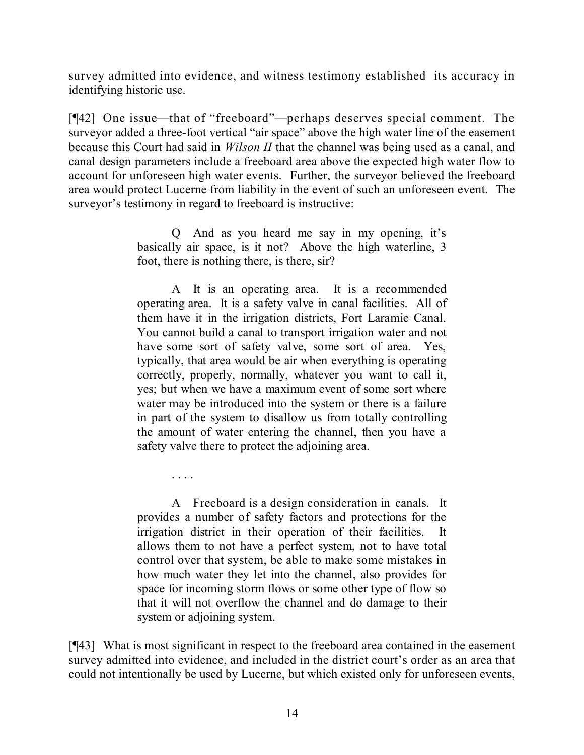survey admitted into evidence, and witness testimony established its accuracy in identifying historic use.

[¶42] One issue—that of "freeboard"—perhaps deserves special comment. The surveyor added a three-foot vertical "air space" above the high water line of the easement because this Court had said in *Wilson II* that the channel was being used as a canal, and canal design parameters include a freeboard area above the expected high water flow to account for unforeseen high water events. Further, the surveyor believed the freeboard area would protect Lucerne from liability in the event of such an unforeseen event. The surveyor's testimony in regard to freeboard is instructive:

> Q And as you heard me say in my opening, it's basically air space, is it not? Above the high waterline, 3 foot, there is nothing there, is there, sir?

> A It is an operating area. It is a recommended operating area. It is a safety valve in canal facilities. All of them have it in the irrigation districts, Fort Laramie Canal. You cannot build a canal to transport irrigation water and not have some sort of safety valve, some sort of area. Yes, typically, that area would be air when everything is operating correctly, properly, normally, whatever you want to call it, yes; but when we have a maximum event of some sort where water may be introduced into the system or there is a failure in part of the system to disallow us from totally controlling the amount of water entering the channel, then you have a safety valve there to protect the adjoining area.

> A Freeboard is a design consideration in canals. It provides a number of safety factors and protections for the irrigation district in their operation of their facilities. It allows them to not have a perfect system, not to have total control over that system, be able to make some mistakes in how much water they let into the channel, also provides for space for incoming storm flows or some other type of flow so that it will not overflow the channel and do damage to their system or adjoining system.

. . . .

[¶43] What is most significant in respect to the freeboard area contained in the easement survey admitted into evidence, and included in the district court's order as an area that could not intentionally be used by Lucerne, but which existed only for unforeseen events,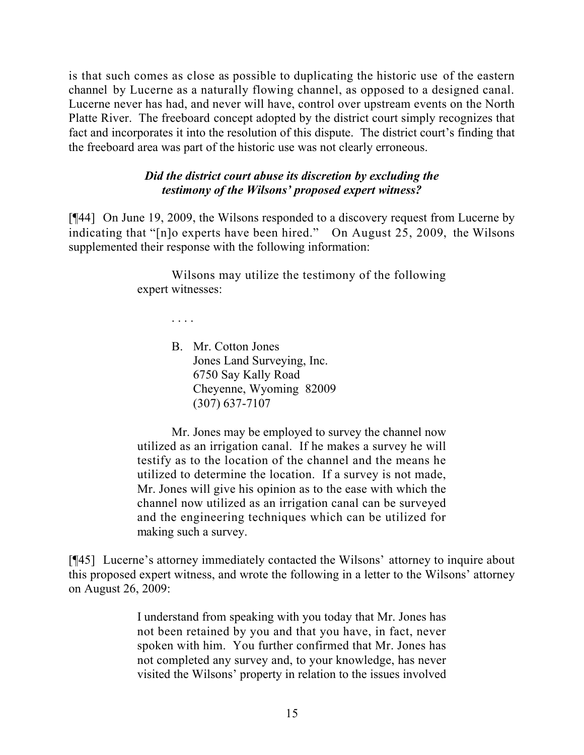is that such comes as close as possible to duplicating the historic use of the eastern channel by Lucerne as a naturally flowing channel, as opposed to a designed canal. Lucerne never has had, and never will have, control over upstream events on the North Platte River. The freeboard concept adopted by the district court simply recognizes that fact and incorporates it into the resolution of this dispute. The district court's finding that the freeboard area was part of the historic use was not clearly erroneous.

#### *Did the district court abuse its discretion by excluding the testimony of the Wilsons' proposed expert witness?*

[¶44] On June 19, 2009, the Wilsons responded to a discovery request from Lucerne by indicating that "[n]o experts have been hired." On August 25, 2009, the Wilsons supplemented their response with the following information:

> Wilsons may utilize the testimony of the following expert witnesses:

> > . . . .

B. Mr. Cotton Jones Jones Land Surveying, Inc. 6750 Say Kally Road Cheyenne, Wyoming 82009 (307) 637-7107

Mr. Jones may be employed to survey the channel now utilized as an irrigation canal. If he makes a survey he will testify as to the location of the channel and the means he utilized to determine the location. If a survey is not made, Mr. Jones will give his opinion as to the ease with which the channel now utilized as an irrigation canal can be surveyed and the engineering techniques which can be utilized for making such a survey.

[¶45] Lucerne's attorney immediately contacted the Wilsons' attorney to inquire about this proposed expert witness, and wrote the following in a letter to the Wilsons' attorney on August 26, 2009:

> I understand from speaking with you today that Mr. Jones has not been retained by you and that you have, in fact, never spoken with him. You further confirmed that Mr. Jones has not completed any survey and, to your knowledge, has never visited the Wilsons' property in relation to the issues involved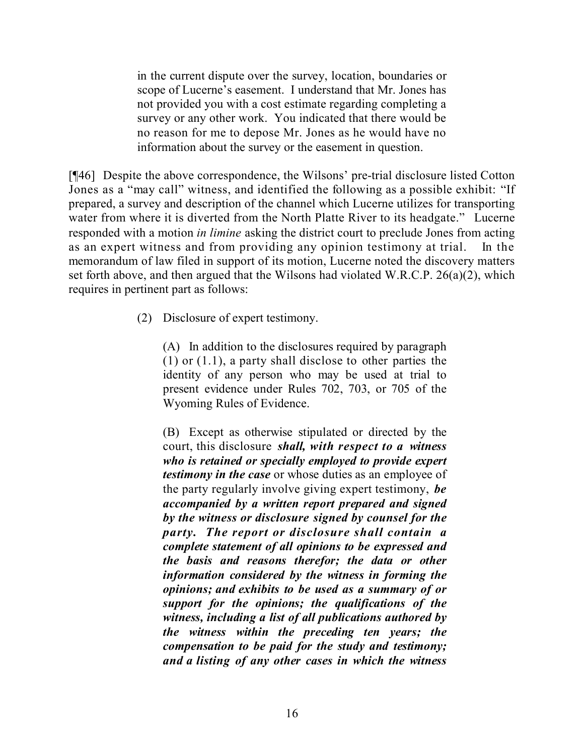in the current dispute over the survey, location, boundaries or scope of Lucerne's easement. I understand that Mr. Jones has not provided you with a cost estimate regarding completing a survey or any other work. You indicated that there would be no reason for me to depose Mr. Jones as he would have no information about the survey or the easement in question.

[¶46] Despite the above correspondence, the Wilsons' pre-trial disclosure listed Cotton Jones as a "may call" witness, and identified the following as a possible exhibit: "If prepared, a survey and description of the channel which Lucerne utilizes for transporting water from where it is diverted from the North Platte River to its headgate." Lucerne responded with a motion *in limine* asking the district court to preclude Jones from acting as an expert witness and from providing any opinion testimony at trial. In the memorandum of law filed in support of its motion, Lucerne noted the discovery matters set forth above, and then argued that the Wilsons had violated W.R.C.P. 26(a)(2), which requires in pertinent part as follows:

(2) Disclosure of expert testimony.

(A) In addition to the disclosures required by paragraph (1) or (1.1), a party shall disclose to other parties the identity of any person who may be used at trial to present evidence under Rules 702, 703, or 705 of the Wyoming Rules of Evidence.

(B) Except as otherwise stipulated or directed by the court, this disclosure *shall, with respect to a witness who is retained or specially employed to provide expert testimony in the case* or whose duties as an employee of the party regularly involve giving expert testimony, *be accompanied by a written report prepared and signed by the witness or disclosure signed by counsel for the party. The report or disclosure shall contain a complete statement of all opinions to be expressed and the basis and reasons therefor; the data or other information considered by the witness in forming the opinions; and exhibits to be used as a summary of or support for the opinions; the qualifications of the witness, including a list of all publications authored by the witness within the preceding ten years; the compensation to be paid for the study and testimony; and a listing of any other cases in which the witness*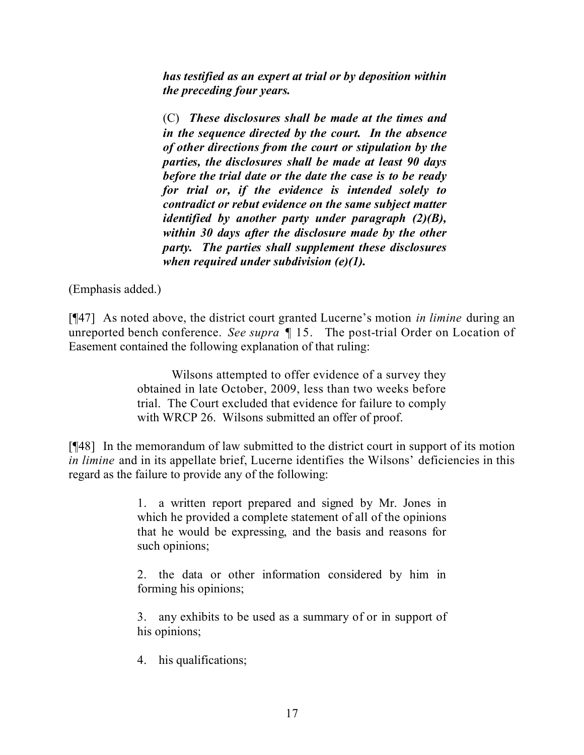*has testified as an expert at trial or by deposition within the preceding four years.*

(C) *These disclosures shall be made at the times and in the sequence directed by the court. In the absence of other directions from the court or stipulation by the parties, the disclosures shall be made at least 90 days before the trial date or the date the case is to be ready for trial or, if the evidence is intended solely to contradict or rebut evidence on the same subject matter identified by another party under paragraph (2)(B), within 30 days after the disclosure made by the other party. The parties shall supplement these disclosures when required under subdivision (e)(1).*

(Emphasis added.)

[¶47] As noted above, the district court granted Lucerne's motion *in limine* during an unreported bench conference. *See supra* ¶ 15. The post-trial Order on Location of Easement contained the following explanation of that ruling:

> Wilsons attempted to offer evidence of a survey they obtained in late October, 2009, less than two weeks before trial. The Court excluded that evidence for failure to comply with WRCP 26. Wilsons submitted an offer of proof.

[¶48] In the memorandum of law submitted to the district court in support of its motion *in limine* and in its appellate brief, Lucerne identifies the Wilsons' deficiencies in this regard as the failure to provide any of the following:

> 1. a written report prepared and signed by Mr. Jones in which he provided a complete statement of all of the opinions that he would be expressing, and the basis and reasons for such opinions;

> 2. the data or other information considered by him in forming his opinions;

> 3. any exhibits to be used as a summary of or in support of his opinions;

4. his qualifications;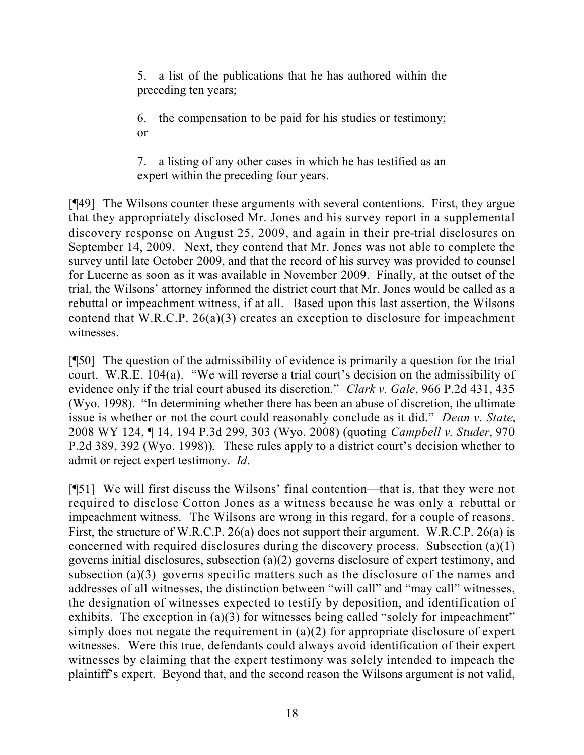5. a list of the publications that he has authored within the preceding ten years;

6. the compensation to be paid for his studies or testimony; or

7. a listing of any other cases in which he has testified as an expert within the preceding four years.

[¶49] The Wilsons counter these arguments with several contentions. First, they argue that they appropriately disclosed Mr. Jones and his survey report in a supplemental discovery response on August 25, 2009, and again in their pre-trial disclosures on September 14, 2009. Next, they contend that Mr. Jones was not able to complete the survey until late October 2009, and that the record of his survey was provided to counsel for Lucerne as soon as it was available in November 2009. Finally, at the outset of the trial, the Wilsons' attorney informed the district court that Mr. Jones would be called as a rebuttal or impeachment witness, if at all. Based upon this last assertion, the Wilsons contend that W.R.C.P. 26(a)(3) creates an exception to disclosure for impeachment witnesses.

[¶50] The question of the admissibility of evidence is primarily a question for the trial court. W.R.E. 104(a). "We will reverse a trial court's decision on the admissibility of evidence only if the trial court abused its discretion." *Clark v. Gale*, 966 P.2d 431, 435 (Wyo. 1998). "In determining whether there has been an abuse of discretion, the ultimate issue is whether or not the court could reasonably conclude as it did." *Dean v. State*, 2008 WY 124, ¶ 14, 194 P.3d 299, 303 (Wyo. 2008) (quoting *Campbell v. Studer*, 970 P.2d 389, 392 (Wyo. 1998)). These rules apply to a district court's decision whether to admit or reject expert testimony. *Id*.

[¶51] We will first discuss the Wilsons' final contention—that is, that they were not required to disclose Cotton Jones as a witness because he was only a rebuttal or impeachment witness. The Wilsons are wrong in this regard, for a couple of reasons. First, the structure of W.R.C.P. 26(a) does not support their argument. W.R.C.P. 26(a) is concerned with required disclosures during the discovery process. Subsection (a)(1) governs initial disclosures, subsection (a)(2) governs disclosure of expert testimony, and subsection (a)(3) governs specific matters such as the disclosure of the names and addresses of all witnesses, the distinction between "will call" and "may call" witnesses, the designation of witnesses expected to testify by deposition, and identification of exhibits. The exception in (a)(3) for witnesses being called "solely for impeachment" simply does not negate the requirement in (a)(2) for appropriate disclosure of expert witnesses. Were this true, defendants could always avoid identification of their expert witnesses by claiming that the expert testimony was solely intended to impeach the plaintiff's expert. Beyond that, and the second reason the Wilsons argument is not valid,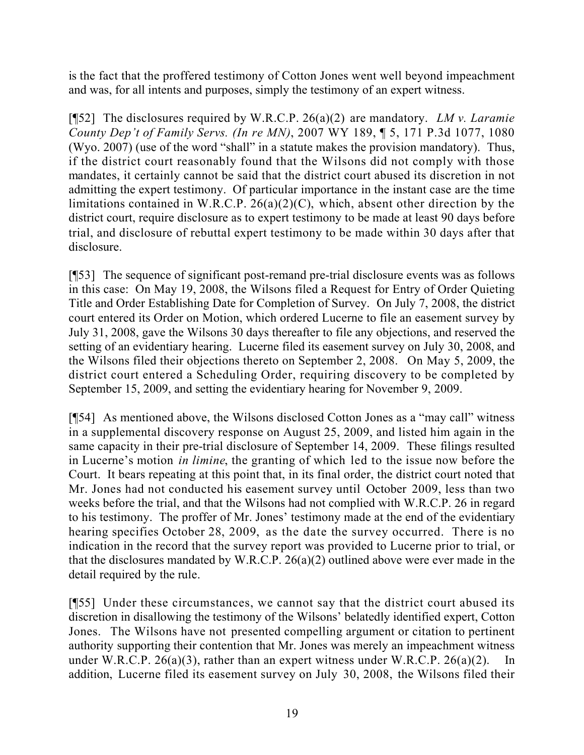is the fact that the proffered testimony of Cotton Jones went well beyond impeachment and was, for all intents and purposes, simply the testimony of an expert witness.

[¶52] The disclosures required by W.R.C.P. 26(a)(2) are mandatory. *LM v. Laramie County Dep't of Family Servs. (In re MN)*, 2007 WY 189, ¶ 5, 171 P.3d 1077, 1080 (Wyo. 2007) (use of the word "shall" in a statute makes the provision mandatory). Thus, if the district court reasonably found that the Wilsons did not comply with those mandates, it certainly cannot be said that the district court abused its discretion in not admitting the expert testimony. Of particular importance in the instant case are the time limitations contained in W.R.C.P. 26(a)(2)(C), which, absent other direction by the district court, require disclosure as to expert testimony to be made at least 90 days before trial, and disclosure of rebuttal expert testimony to be made within 30 days after that disclosure.

[¶53] The sequence of significant post-remand pre-trial disclosure events was as follows in this case: On May 19, 2008, the Wilsons filed a Request for Entry of Order Quieting Title and Order Establishing Date for Completion of Survey. On July 7, 2008, the district court entered its Order on Motion, which ordered Lucerne to file an easement survey by July 31, 2008, gave the Wilsons 30 days thereafter to file any objections, and reserved the setting of an evidentiary hearing. Lucerne filed its easement survey on July 30, 2008, and the Wilsons filed their objections thereto on September 2, 2008. On May 5, 2009, the district court entered a Scheduling Order, requiring discovery to be completed by September 15, 2009, and setting the evidentiary hearing for November 9, 2009.

[¶54] As mentioned above, the Wilsons disclosed Cotton Jones as a "may call" witness in a supplemental discovery response on August 25, 2009, and listed him again in the same capacity in their pre-trial disclosure of September 14, 2009. These filings resulted in Lucerne's motion *in limine*, the granting of which led to the issue now before the Court. It bears repeating at this point that, in its final order, the district court noted that Mr. Jones had not conducted his easement survey until October 2009, less than two weeks before the trial, and that the Wilsons had not complied with W.R.C.P. 26 in regard to his testimony. The proffer of Mr. Jones' testimony made at the end of the evidentiary hearing specifies October 28, 2009, as the date the survey occurred. There is no indication in the record that the survey report was provided to Lucerne prior to trial, or that the disclosures mandated by W.R.C.P. 26(a)(2) outlined above were ever made in the detail required by the rule.

[¶55] Under these circumstances, we cannot say that the district court abused its discretion in disallowing the testimony of the Wilsons' belatedly identified expert, Cotton Jones. The Wilsons have not presented compelling argument or citation to pertinent authority supporting their contention that Mr. Jones was merely an impeachment witness under W.R.C.P.  $26(a)(3)$ , rather than an expert witness under W.R.C.P.  $26(a)(2)$ . In addition, Lucerne filed its easement survey on July 30, 2008, the Wilsons filed their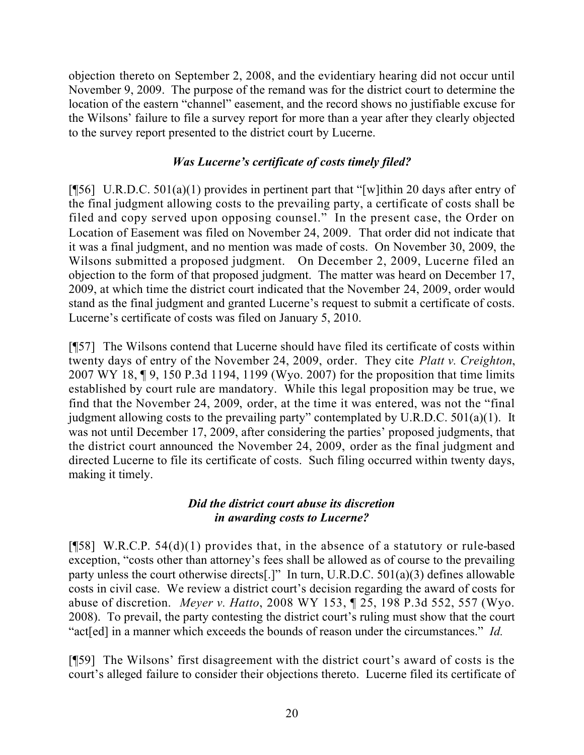objection thereto on September 2, 2008, and the evidentiary hearing did not occur until November 9, 2009. The purpose of the remand was for the district court to determine the location of the eastern "channel" easement, and the record shows no justifiable excuse for the Wilsons' failure to file a survey report for more than a year after they clearly objected to the survey report presented to the district court by Lucerne.

## *Was Lucerne's certificate of costs timely filed?*

[ $[$ 56] U.R.D.C. 501(a)(1) provides in pertinent part that "[w]ithin 20 days after entry of the final judgment allowing costs to the prevailing party, a certificate of costs shall be filed and copy served upon opposing counsel." In the present case, the Order on Location of Easement was filed on November 24, 2009. That order did not indicate that it was a final judgment, and no mention was made of costs. On November 30, 2009, the Wilsons submitted a proposed judgment. On December 2, 2009, Lucerne filed an objection to the form of that proposed judgment. The matter was heard on December 17, 2009, at which time the district court indicated that the November 24, 2009, order would stand as the final judgment and granted Lucerne's request to submit a certificate of costs. Lucerne's certificate of costs was filed on January 5, 2010.

[¶57] The Wilsons contend that Lucerne should have filed its certificate of costs within twenty days of entry of the November 24, 2009, order. They cite *Platt v. Creighton*, 2007 WY 18, ¶ 9, 150 P.3d 1194, 1199 (Wyo. 2007) for the proposition that time limits established by court rule are mandatory. While this legal proposition may be true, we find that the November 24, 2009, order, at the time it was entered, was not the "final judgment allowing costs to the prevailing party" contemplated by U.R.D.C. 501(a)(1). It was not until December 17, 2009, after considering the parties' proposed judgments, that the district court announced the November 24, 2009, order as the final judgment and directed Lucerne to file its certificate of costs. Such filing occurred within twenty days, making it timely.

#### *Did the district court abuse its discretion in awarding costs to Lucerne?*

[ $[$ 58] W.R.C.P. 54(d)(1) provides that, in the absence of a statutory or rule-based exception, "costs other than attorney's fees shall be allowed as of course to the prevailing party unless the court otherwise directs[.]" In turn, U.R.D.C. 501(a)(3) defines allowable costs in civil case. We review a district court's decision regarding the award of costs for abuse of discretion. *Meyer v. Hatto*, 2008 WY 153, ¶ 25, 198 P.3d 552, 557 (Wyo. 2008). To prevail, the party contesting the district court's ruling must show that the court "act[ed] in a manner which exceeds the bounds of reason under the circumstances." *Id.*

[¶59] The Wilsons' first disagreement with the district court's award of costs is the court's alleged failure to consider their objections thereto. Lucerne filed its certificate of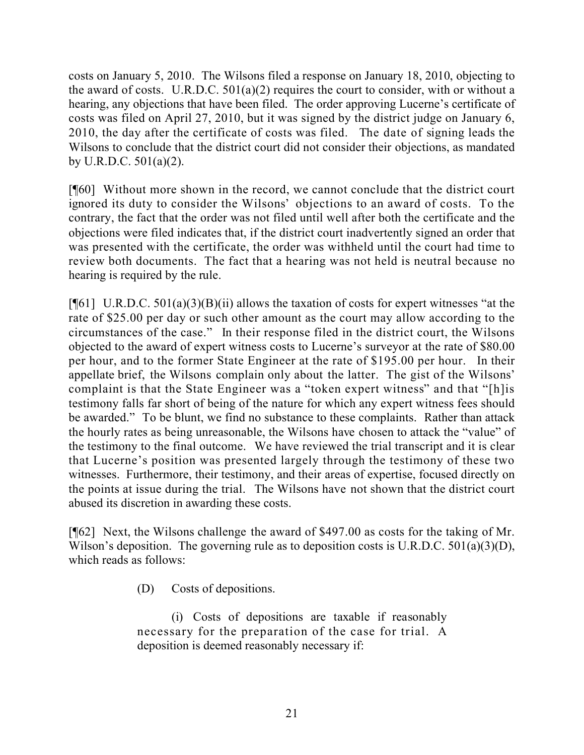costs on January 5, 2010. The Wilsons filed a response on January 18, 2010, objecting to the award of costs. U.R.D.C. 501(a)(2) requires the court to consider, with or without a hearing, any objections that have been filed. The order approving Lucerne's certificate of costs was filed on April 27, 2010, but it was signed by the district judge on January 6, 2010, the day after the certificate of costs was filed. The date of signing leads the Wilsons to conclude that the district court did not consider their objections, as mandated by U.R.D.C. 501(a)(2).

[¶60] Without more shown in the record, we cannot conclude that the district court ignored its duty to consider the Wilsons' objections to an award of costs. To the contrary, the fact that the order was not filed until well after both the certificate and the objections were filed indicates that, if the district court inadvertently signed an order that was presented with the certificate, the order was withheld until the court had time to review both documents. The fact that a hearing was not held is neutral because no hearing is required by the rule.

 $[\![\mathcal{F}[\mathbf{6}]] \!]$  U.R.D.C. 501(a)(3)(B)(ii) allows the taxation of costs for expert witnesses "at the rate of \$25.00 per day or such other amount as the court may allow according to the circumstances of the case." In their response filed in the district court, the Wilsons objected to the award of expert witness costs to Lucerne's surveyor at the rate of \$80.00 per hour, and to the former State Engineer at the rate of \$195.00 per hour. In their appellate brief, the Wilsons complain only about the latter. The gist of the Wilsons' complaint is that the State Engineer was a "token expert witness" and that "[h]is testimony falls far short of being of the nature for which any expert witness fees should be awarded." To be blunt, we find no substance to these complaints. Rather than attack the hourly rates as being unreasonable, the Wilsons have chosen to attack the "value" of the testimony to the final outcome. We have reviewed the trial transcript and it is clear that Lucerne's position was presented largely through the testimony of these two witnesses. Furthermore, their testimony, and their areas of expertise, focused directly on the points at issue during the trial. The Wilsons have not shown that the district court abused its discretion in awarding these costs.

[¶62] Next, the Wilsons challenge the award of \$497.00 as costs for the taking of Mr. Wilson's deposition. The governing rule as to deposition costs is U.R.D.C. 501(a)(3)(D), which reads as follows:

(D) Costs of depositions.

(i) Costs of depositions are taxable if reasonably necessary for the preparation of the case for trial. A deposition is deemed reasonably necessary if: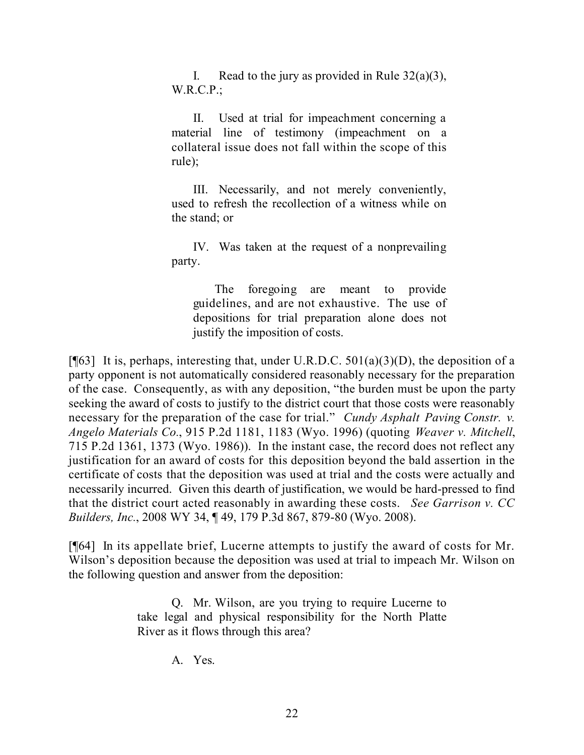I. Read to the jury as provided in Rule  $32(a)(3)$ , W.R.C.P.;

II. Used at trial for impeachment concerning a material line of testimony (impeachment on a collateral issue does not fall within the scope of this rule);

III. Necessarily, and not merely conveniently, used to refresh the recollection of a witness while on the stand; or

IV. Was taken at the request of a nonprevailing party.

The foregoing are meant to provide guidelines, and are not exhaustive. The use of depositions for trial preparation alone does not justify the imposition of costs.

[ $[$ [63] It is, perhaps, interesting that, under U.R.D.C. 501(a)(3)(D), the deposition of a party opponent is not automatically considered reasonably necessary for the preparation of the case. Consequently, as with any deposition, "the burden must be upon the party seeking the award of costs to justify to the district court that those costs were reasonably necessary for the preparation of the case for trial." *Cundy Asphalt Paving Constr. v. Angelo Materials Co.*, 915 P.2d 1181, 1183 (Wyo. 1996) (quoting *Weaver v. Mitchell*, 715 P.2d 1361, 1373 (Wyo. 1986)). In the instant case, the record does not reflect any justification for an award of costs for this deposition beyond the bald assertion in the certificate of costs that the deposition was used at trial and the costs were actually and necessarily incurred. Given this dearth of justification, we would be hard-pressed to find that the district court acted reasonably in awarding these costs. *See Garrison v. CC Builders, Inc.*, 2008 WY 34, ¶ 49, 179 P.3d 867, 879-80 (Wyo. 2008).

[¶64] In its appellate brief, Lucerne attempts to justify the award of costs for Mr. Wilson's deposition because the deposition was used at trial to impeach Mr. Wilson on the following question and answer from the deposition:

> Q. Mr. Wilson, are you trying to require Lucerne to take legal and physical responsibility for the North Platte River as it flows through this area?

> > A. Yes.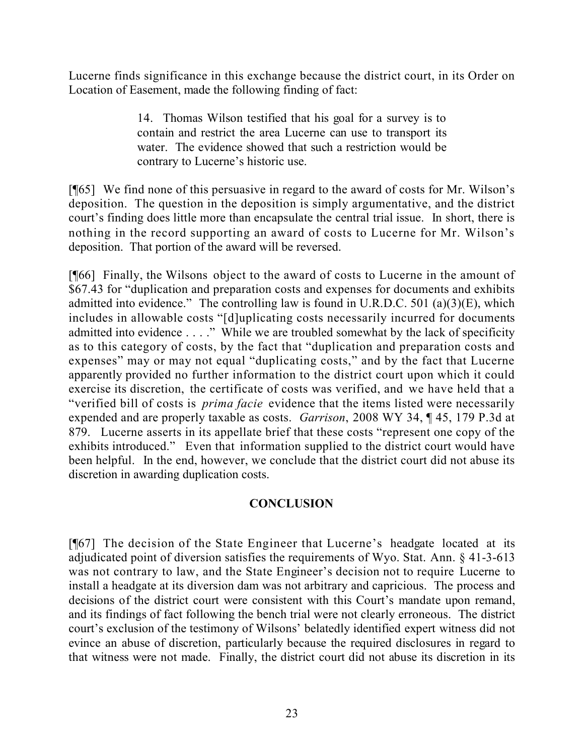Lucerne finds significance in this exchange because the district court, in its Order on Location of Easement, made the following finding of fact:

> 14. Thomas Wilson testified that his goal for a survey is to contain and restrict the area Lucerne can use to transport its water. The evidence showed that such a restriction would be contrary to Lucerne's historic use.

[¶65] We find none of this persuasive in regard to the award of costs for Mr. Wilson's deposition. The question in the deposition is simply argumentative, and the district court's finding does little more than encapsulate the central trial issue. In short, there is nothing in the record supporting an award of costs to Lucerne for Mr. Wilson's deposition. That portion of the award will be reversed.

[¶66] Finally, the Wilsons object to the award of costs to Lucerne in the amount of \$67.43 for "duplication and preparation costs and expenses for documents and exhibits admitted into evidence." The controlling law is found in U.R.D.C. 501 (a)(3)(E), which includes in allowable costs "[d]uplicating costs necessarily incurred for documents admitted into evidence . . . ." While we are troubled somewhat by the lack of specificity as to this category of costs, by the fact that "duplication and preparation costs and expenses" may or may not equal "duplicating costs," and by the fact that Lucerne apparently provided no further information to the district court upon which it could exercise its discretion, the certificate of costs was verified, and we have held that a "verified bill of costs is *prima facie* evidence that the items listed were necessarily expended and are properly taxable as costs. *Garrison*, 2008 WY 34, ¶ 45, 179 P.3d at 879. Lucerne asserts in its appellate brief that these costs "represent one copy of the exhibits introduced." Even that information supplied to the district court would have been helpful. In the end, however, we conclude that the district court did not abuse its discretion in awarding duplication costs.

## **CONCLUSION**

[¶67] The decision of the State Engineer that Lucerne's headgate located at its adjudicated point of diversion satisfies the requirements of Wyo. Stat. Ann. § 41-3-613 was not contrary to law, and the State Engineer's decision not to require Lucerne to install a headgate at its diversion dam was not arbitrary and capricious. The process and decisions of the district court were consistent with this Court's mandate upon remand, and its findings of fact following the bench trial were not clearly erroneous. The district court's exclusion of the testimony of Wilsons' belatedly identified expert witness did not evince an abuse of discretion, particularly because the required disclosures in regard to that witness were not made. Finally, the district court did not abuse its discretion in its